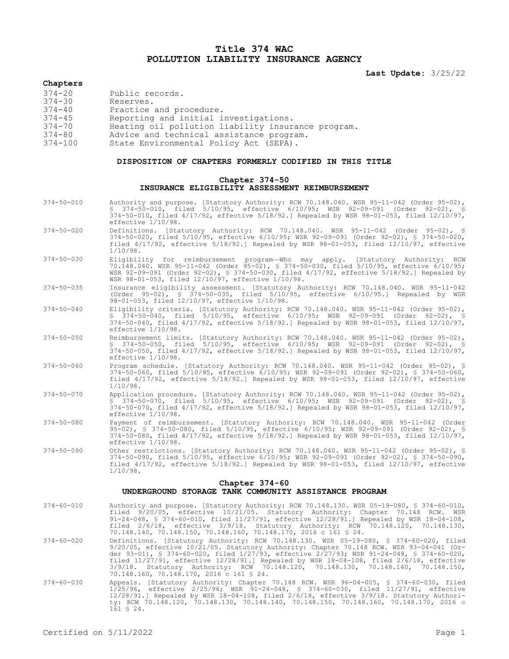# **Title 374 WAC POLLUTION LIABILITY INSURANCE AGENCY**

**Last Update:** 3/25/22

#### **Chapters**

- 374-20 Public records.
- 374-30 Reserves. 374-40 Practice and procedure.<br>374-45 Reporting and initial i 374-45 Reporting and initial investigations. 374-70 Heating oil pollution liability insurance program.<br>374-80 Advice and technical assistance program. 374-80 Advice and technical assistance program. State Environmental Policy Act (SEPA).
	-

## **DISPOSITION OF CHAPTERS FORMERLY CODIFIED IN THIS TITLE**

### **Chapter 374-50 INSURANCE ELIGIBILITY ASSESSMENT REIMBURSEMENT**

- 374-50-010 Authority and purpose. [Statutory Authority: RCW 70.148.040. WSR 95-11-042 (Order 95-02), § 374-50-010, filed 5/10/95, effective 6/10/95; WSR 92-09-091 (Order 92-02), § 374-50-010, filed 4/17/92, effective 5/18/92.] Repealed by WSR 98-01-053, filed 12/10/97, effective 1/10/98.
- 374-50-020 Definitions. [Statutory Authority: RCW 70.148.040. WSR 95-11-042 (Order 95-02), § 374-50-020, filed 5/10/95, effective 6/10/95; WSR 92-09-091 (Order 92-02), § 374-50-020, filed 4/17/92, effective 5/18/92.] Repealed by WSR 98-01-053, filed 12/10/97, effective 1/10/98.
- 374-50-030 Eligibility for reimbursement program—Who may apply. [Statutory Authority: RCW 70.148.040. WSR 95-11-042 (Order 95-02), § 374-50-030, filed 5/10/95, effective 6/10/95; WSR 92-09-091 (Order 92-02), § 374-50-030, filed 4/17/92, effective 5/18/92.] Repealed by WSR 98-01-053, filed 12/10/97, effective 1/10/98.
- 374-50-035 Insurance eligibility assessment. [Statutory Authority: RCW 70.148.040. WSR 95-11-042 (Order 95-02), § 374-50-035, filed 5/10/95, effective 6/10/95.] Repealed by WSR 98-01-053, filed 12/10/97, effective 1/10/98.
- 374-50-040 Eligibility criteria. [Statutory Authority: RCW 70.148.040. WSR 95-11-042 (Order 95-02), § 374-50-040, filed 5/10/95, effective 6/10/95; WSR 92-09-091 (Order 92-02), § 374-50-040, filed 4/17/92, effective 5/18/92.] Repealed by WSR 98-01-053, filed 12/10/97, effective 1/10/98.
- 374-50-050 Reimbursement limits. [Statutory Authority: RCW 70.148.040. WSR 95-11-042 (Order 95-02), § 374-50-050, filed 5/10/95, effective 6/10/95; WSR 92-09-091 (Order 92-02), § 374-50-050, filed 4/17/92, effective 5/18/92.] Repealed by WSR 98-01-053, filed 12/10/97, effective 1/10/98.
- 374-50-060 Program schedule. [Statutory Authority: RCW 70.148.040. WSR 95-11-042 (Order 95-02), § 374-50-060, filed 5/10/95, effective 6/10/95; WSR 92-09-091 (Order 92-02), § 374-50-060, filed 4/17/92, effective 5/18/92.] Repealed by WSR 98-01-053, filed 12/10/97, effective 1/10/98.
- 374-50-070 Application procedure. [Statutory Authority: RCW 70.148.040. WSR 95-11-042 (Order 95-02), § 374-50-070, filed 5/10/95, effective 6/10/95; WSR 92-09-091 (Order 92-02), § 374-50-070, filed 4/17/92, effective 5/18/92.] Repealed by WSR 98-01-053, filed 12/10/97, effective 1/10/98.
- 374-50-080 Payment of reimbursement. [Statutory Authority: RCW 70.148.040. WSR 95-11-042 (Order 95-02), § 374-50-080, filed 5/10/95, effective 6/10/95; WSR 92-09-091 (Order 92-02), § 374-50-080, filed 4/17/92, effective 5/18/92.] Repealed by WSR 98-01-053, filed 12/10/97, effective 1/10/98.
- 374-50-090 Other restrictions. [Statutory Authority: RCW 70.148.040. WSR 95-11-042 (Order 95-02), § 374-50-090, filed 5/10/95, effective 6/10/95; WSR 92-09-091 (Order 92-02), § 374-50-090, filed 4/17/92, effective 5/18/92.] Repealed by WSR 98-01-053, filed 12/10/97, effective 1/10/98.

#### **Chapter 374-60**

#### **UNDERGROUND STORAGE TANK COMMUNITY ASSISTANCE PROGRAM**

374-60-010 Authority and purpose. [Statutory Authority: RCW 70.148.130. WSR 05-19-080, § 374-60-010, filed 9/20/05, effective 10/21/05. Statutory Authority: Chapter 70.148 RCW. WSR 91-24-048, § 374-60-010, filed 11/27/91, effective 12/28/91.] Repealed by WSR 18-04-108, filed 2/6/18, effective 3/9/18. Statutory Authority: RCW 70.148.120, 70.148.130, 70.148.140, 70.148.150, 70.148.160, 70.148.170, 2016 c 161 § 24. 374-60-020 Definitions. [Statutory Authority: RCW 70.148.130. WSR 05-19-080, § 374-60-020, filed 9/20/05, effective 10/21/05. Statutory Authority: Chapter 70.148 RCW. WSR 93-04-041 (Order 93-01), § 374-60-020, filed 1/27/93, effective 2/27/93; WSR 91-24-048, § 374-60-020, filed 11/27/91, effective 12/28/91.] Repealed by WSR 18-04-108, filed 2/6/18, effective 3/9/18. Statutory Authority: RCW 70.148.120, 70.148.130, 70.148.140, 70.148.150, 70.148.160, 70.148.170, 2016 c 161 § 24. 374-60-030 Appeals. [Statutory Authority: Chapter 70.148 RCW. WSR 96-04-005, § 374-60-030, filed 1/25/96, effective 2/25/96; WSR 91-24-048, § 374-60-030, filed 11/27/91, effective 12/28/91.] Repealed by WSR 18-04-108, filed 2/6/18, effective 3/9/18. Statutory Authority: RCW 70.148.120, 70.148.130, 70.148.140, 70.148.150, 70.148.160, 70.148.170, 2016 c 161 § 24.